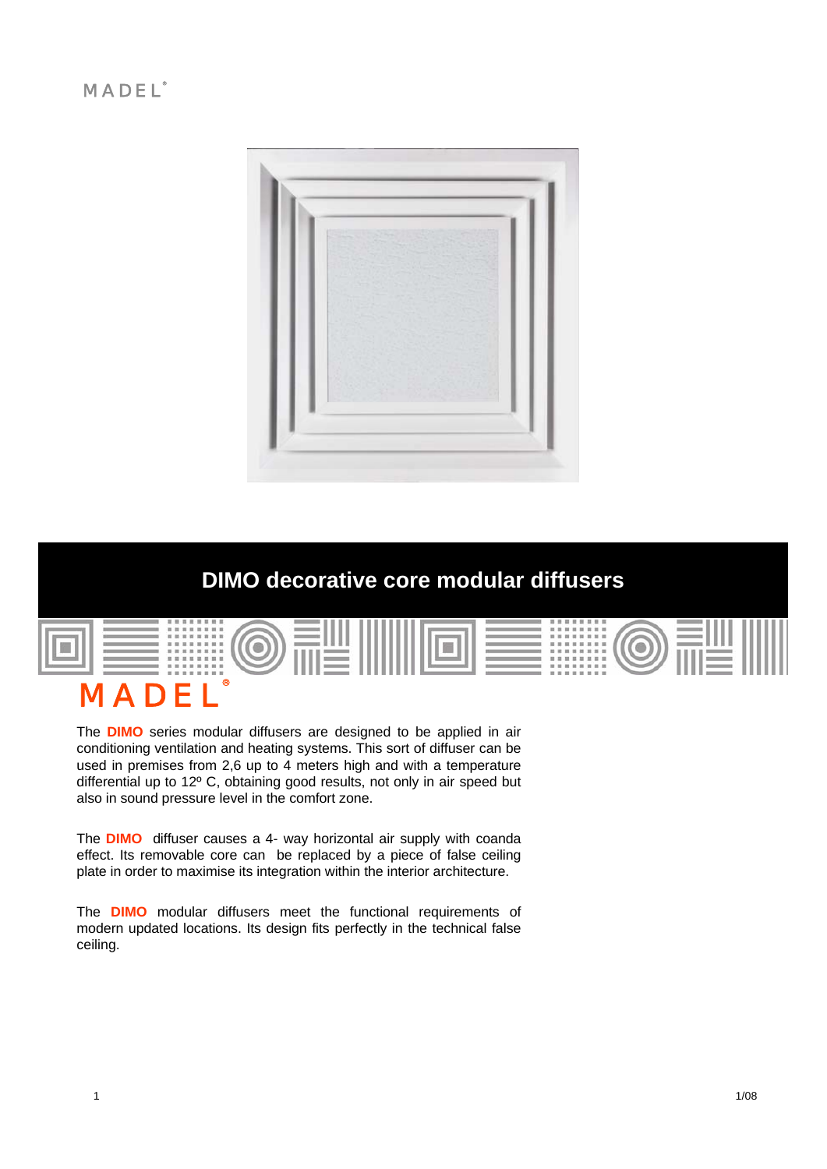## $MADEL<sup>o</sup>$



# **DIMO decorative core modular diffusers**



The **DIMO** series modular diffusers are designed to be applied in air conditioning ventilation and heating systems. This sort of diffuser can be used in premises from 2,6 up to 4 meters high and with a temperature differential up to 12º C, obtaining good results, not only in air speed but also in sound pressure level in the comfort zone.

The **DIMO** diffuser causes a 4- way horizontal air supply with coanda effect. Its removable core can be replaced by a piece of false ceiling plate in order to maximise its integration within the interior architecture.

The **DIMO** modular diffusers meet the functional requirements of modern updated locations. Its design fits perfectly in the technical false ceiling.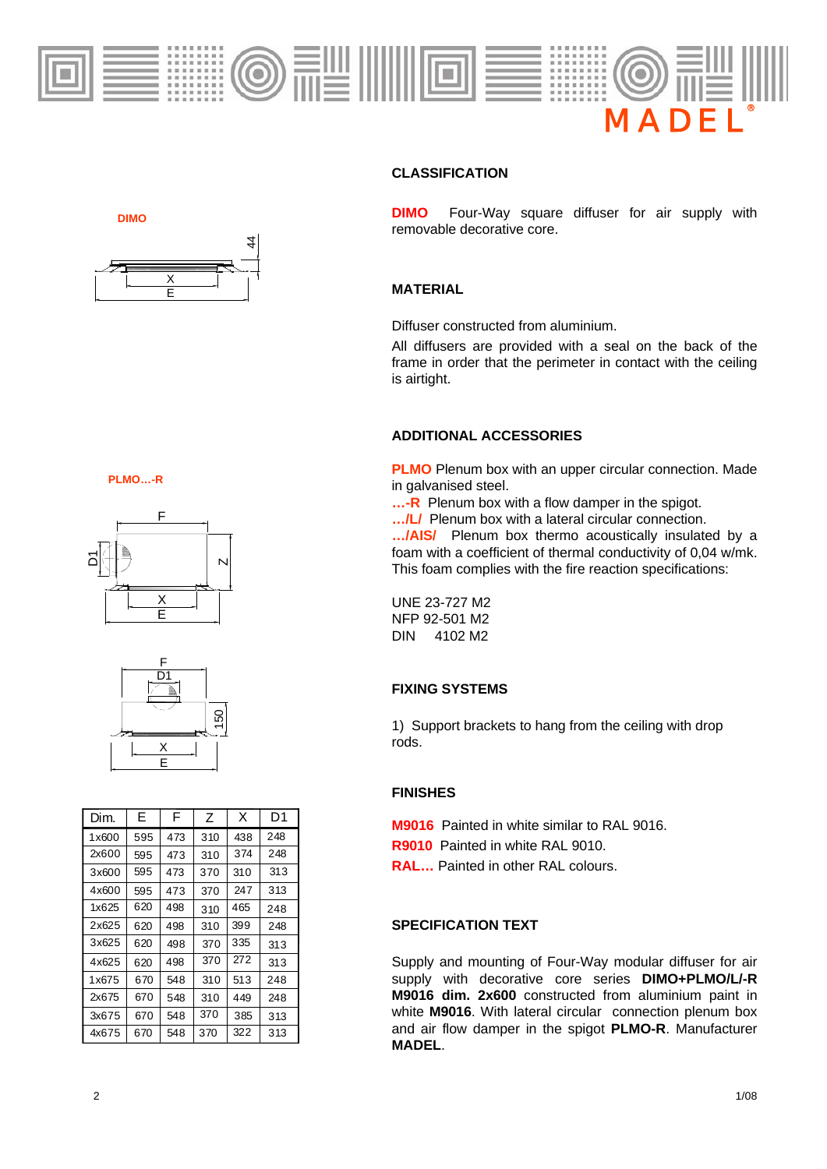

### **CLASSIFICATION**

**DIMO** Four-Way square diffuser for air supply with removable decorative core.

#### **MATERIAL**

Diffuser constructed from aluminium.

All diffusers are provided with a seal on the back of the frame in order that the perimeter in contact with the ceiling is airtight.

#### **ADDITIONAL ACCESSORIES**

**PLMO** Plenum box with an upper circular connection. Made in galvanised steel.

**...-R** Plenum box with a flow damper in the spigot.

**…/L/** Plenum box with a lateral circular connection.

**…/AIS/** Plenum box thermo acoustically insulated by a foam with a coefficient of thermal conductivity of 0,04 w/mk. This foam complies with the fire reaction specifications:

UNE 23-727 M2 NFP 92-501 M2 DIN 4102 M2

#### **FIXING SYSTEMS**

1) Support brackets to hang from the ceiling with drop rods.

#### **FINISHES**

**M9016** Painted in white similar to RAL 9016.

- **R9010** Painted in white RAL 9010.
- **RAL…** Painted in other RAL colours.

### **SPECIFICATION TEXT**

Supply and mounting of Four-Way modular diffuser for air supply with decorative core series **DIMO+PLMO/L/-R M9016 dim. 2x600** constructed from aluminium paint in white **M9016**. With lateral circular connection plenum box and air flow damper in the spigot **PLMO-R**. Manufacturer **MADEL**.





**DIMO**





| <b>SKO</b><br>بَاطِ                         |     |               | N   |                  |     |  |
|---------------------------------------------|-----|---------------|-----|------------------|-----|--|
|                                             |     | $\frac{X}{E}$ |     |                  |     |  |
| F<br>$\overline{D1}$<br>Ę.<br>150<br>Χ<br>E |     |               |     |                  |     |  |
| Dim.                                        | Е   | F             | Ζ   | X                | D1  |  |
| 1x600                                       | 595 | 473           | 310 | 438              | 248 |  |
| 2x600                                       | 595 | 473           | 310 | 374              | 248 |  |
| 3x600                                       | 595 | 473           | 370 | 310              | 313 |  |
| 4x600                                       | 595 | 473           | 370 | 247              | 313 |  |
| 1x625                                       | 620 | 498           | 310 | 465              | 248 |  |
| 2x625                                       | 620 | 498           | 310 | 399              | 248 |  |
| 3x625                                       | 620 | 498           | 370 | 335              | 313 |  |
| 4x625                                       | 620 | 498           | 370 | $\overline{272}$ | 313 |  |
| 1x675                                       | 670 | 548           | 310 | 513              | 248 |  |
| 2x675                                       | 670 | 548           | 310 | 449              | 248 |  |
| 3x675                                       | 670 | 548           | 370 | 385              | 313 |  |
| 4x675                                       | 670 | 548           | 370 | 322              | 313 |  |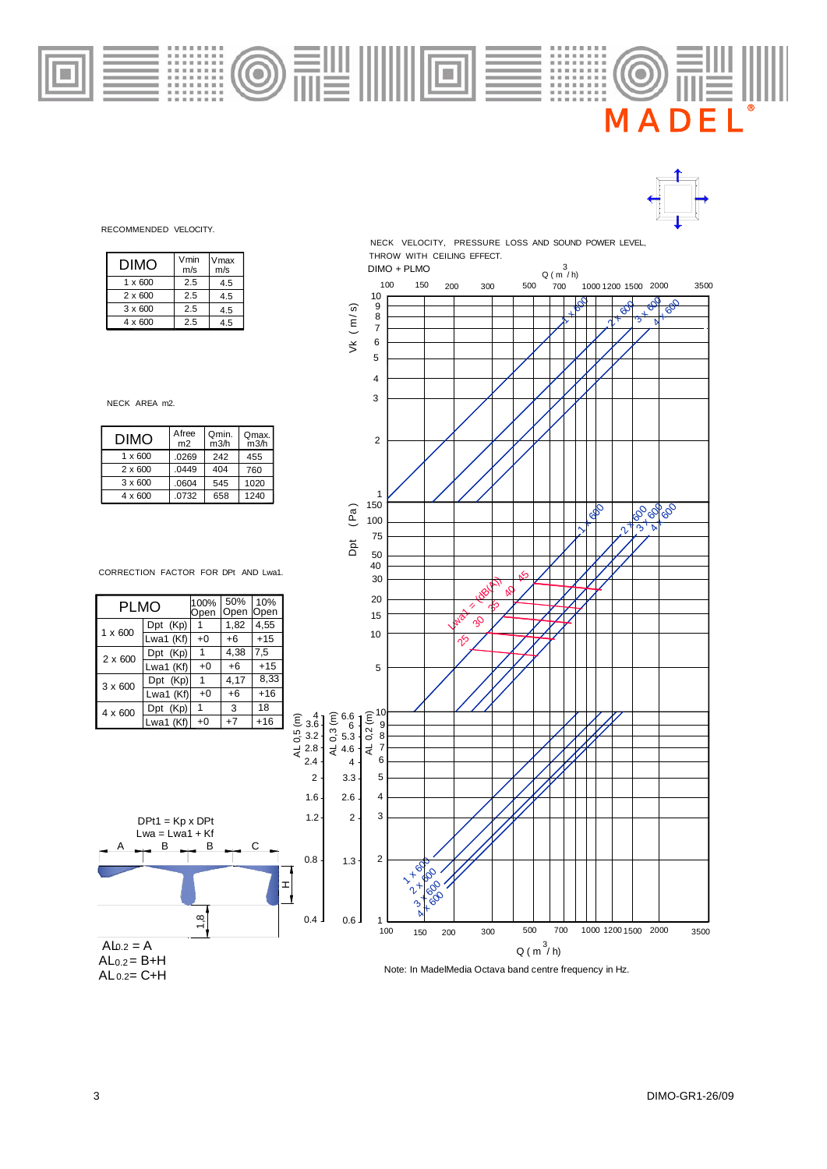



RECOMMENDED VELOCITY.

| DIMO           | Vmin<br>m/s | Vmax<br>m/s |
|----------------|-------------|-------------|
| $1 \times 600$ | 2.5         | 4.5         |
| $2 \times 600$ | 25          | 4.5         |
| $3 \times 600$ | 2.5         | 4.5         |
| $4 \times 600$ | 25          | 45          |

 $\bullet$ 

NECK AREA m2.

| <b>DIMO</b>    | Afree<br>m <sub>2</sub> | Qmin.<br>m3/h | Qmax.<br>m3/h |
|----------------|-------------------------|---------------|---------------|
| $1 \times 600$ | .0269                   | 242           | 455           |
| $2 \times 600$ | .0449                   | 404           | 760           |
| $3 \times 600$ | .0604                   | 545           | 1020          |
| $4 \times 600$ | .0732                   | 658           | 1240          |

CORRECTION FACTOR FOR DPt AND Lwa1.

| PLMO           |           | 100%<br>Open | 50%<br>Open | 10%<br>Open |
|----------------|-----------|--------------|-------------|-------------|
| $1 \times 600$ | Dpt (Kp)  |              | 1,82        | 4,55        |
|                | Lwa1 (Kf) | $+0$         | +6          | $+15$       |
| 2 x 600        | Dpt (Kp)  | 1            | 4,38        | 7,5         |
|                | Lwa1 (Kf) | $+0$         | $+6$        | $+15$       |
| 3 x 600        | Dpt (Kp)  | $\mathbf{1}$ | 4,17        | 8,33        |
|                | Lwa1 (Kf) | $+0$         | $+6$        | $+16$       |
| 4 x 600        | Dpt (Kp)  | 1            | 3           | 18          |
|                | Lwa1 (Kf) | $+0$         | $+7$        | $+16$       |



 $AL 0.2 = C + H$  $AL<sub>0.2</sub> = B+H$ 



THROW WITH CEILING EFFECT.

Note: In MadelMedia Octava band centre frequency in Hz.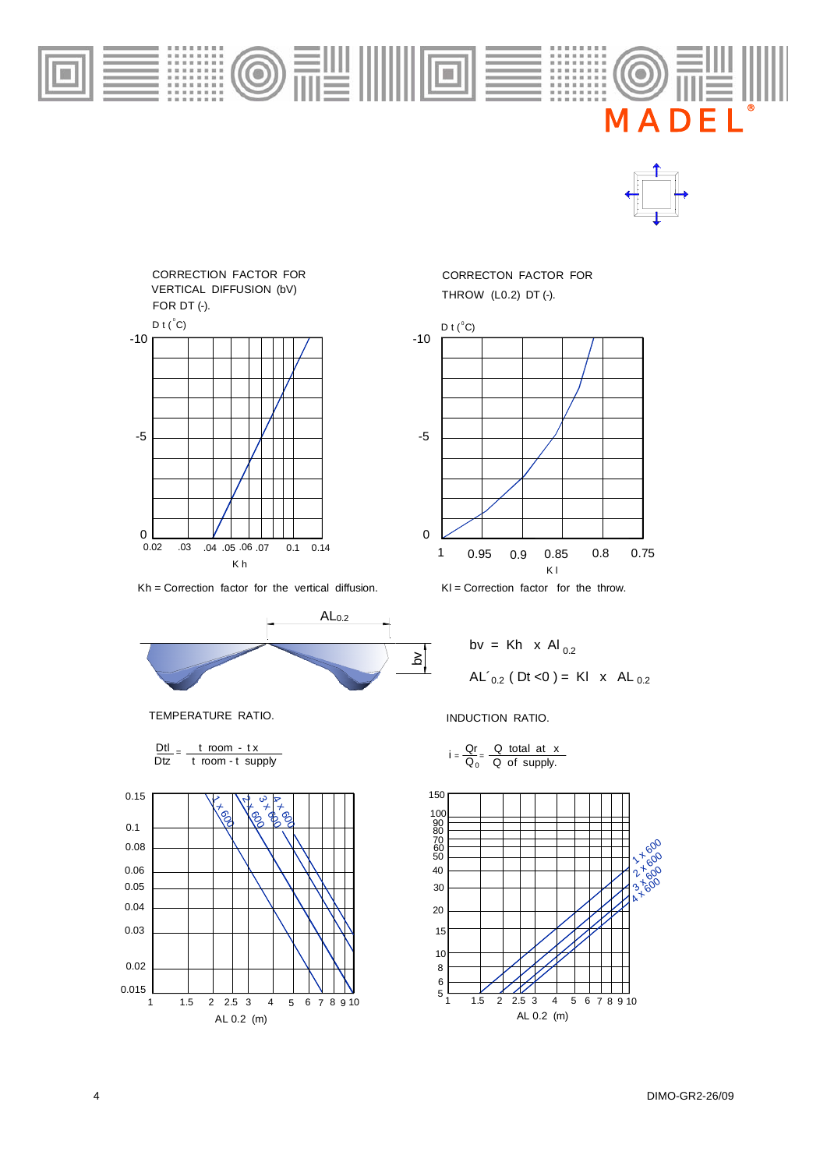

A D

®



Kh = Correction factor for the vertical diffusion.



TEMPERATURE RATIO. **INDUCTION RATIO.** 

| Dtl | t room - tx        |                   |
|-----|--------------------|-------------------|
|     | Dtz troom-t supply | $=\overline{Q_0}$ |



THROW (L0.2) DT (-). CORRECTON FACTOR FOR



 $KI =$  Correction factor for the throw.



$$
i = \frac{Qr}{Q_0} = \frac{Q \text{ total at } x}{Q \text{ of supply.}}
$$

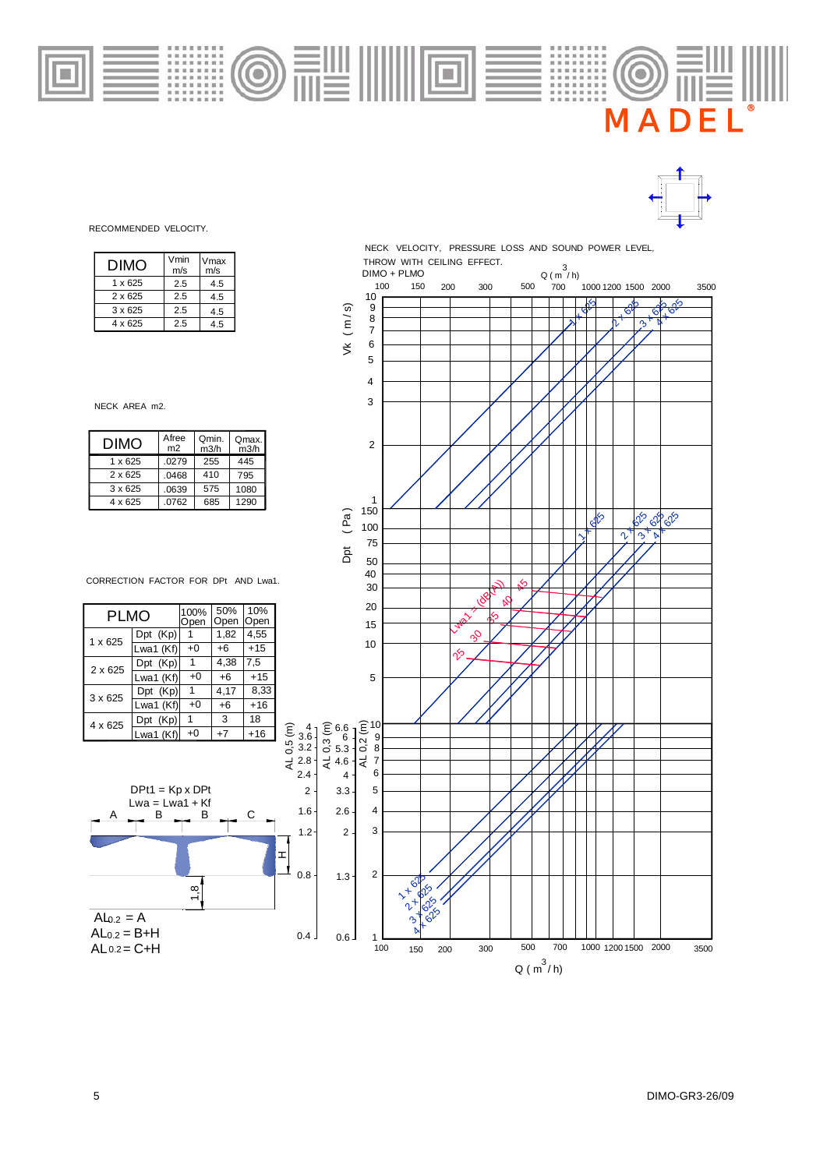

100% 50% 10%<br>Open Open Open 4,55 1,82 1 Dpt (Kp) Open PLMO

> 3.2 2.8 3.6

> > 2

1.2 1.6

ᅚ

| . LIVIV        |              | Open | <b>Open</b> | <b>Open</b> |
|----------------|--------------|------|-------------|-------------|
| $1 \times 625$ | Dpt (Kp)     |      | 1,82        | 4.55        |
|                | Lwa1 $(Kf)$  | $+0$ | $+6$        | $+15$       |
| $2 \times 625$ | $Dpt$ $(Kp)$ | 1    | 4,38        | 7.5         |
|                | Lwa1 $(Kf)$  | $+0$ | $+6$        | $+15$       |
| 3 x 625        | Dpt (Kp)     | 1    | 4,17        | 8.33        |
|                | Lwa1 $(Kf)$  | $+0$ | $+6$        | $+16$       |
| $4 \times 625$ | $Dpt$ $(Kp)$ | 1    | 3           | 18          |
|                | Lwa1 (Kf)    | $+0$ | $+7$        | $+16$       |

B

 $A$   $B$   $B$   $C$ 

 $DPt1 = Kp \times DPt$  $Lwa = Lwa1 + Kf$ 

B

1,8





Vmax m/s 4.5 4.5 4.5 4.5

Vmin

THROW WITH CEILING EFFECT. NECK VELOCITY, PRESSURE LOSS AND SOUND POWER LEVEL,  $Q (m^3/h)$ DIMO + PLMO



 $\bigodot$ 

#### m/s 2.5  $\overline{2.5}$ 2.5 2.5  $1 \times 625$ 3 x 625 4 x 625 2 x 625

DIMO

NECK AREA m2.

RECOMMENDED VELOCITY.



 $\overline{A\ln 2} = A$ 

 $AL 0.2 = C + H$  $AL<sub>0.2</sub> = B + H$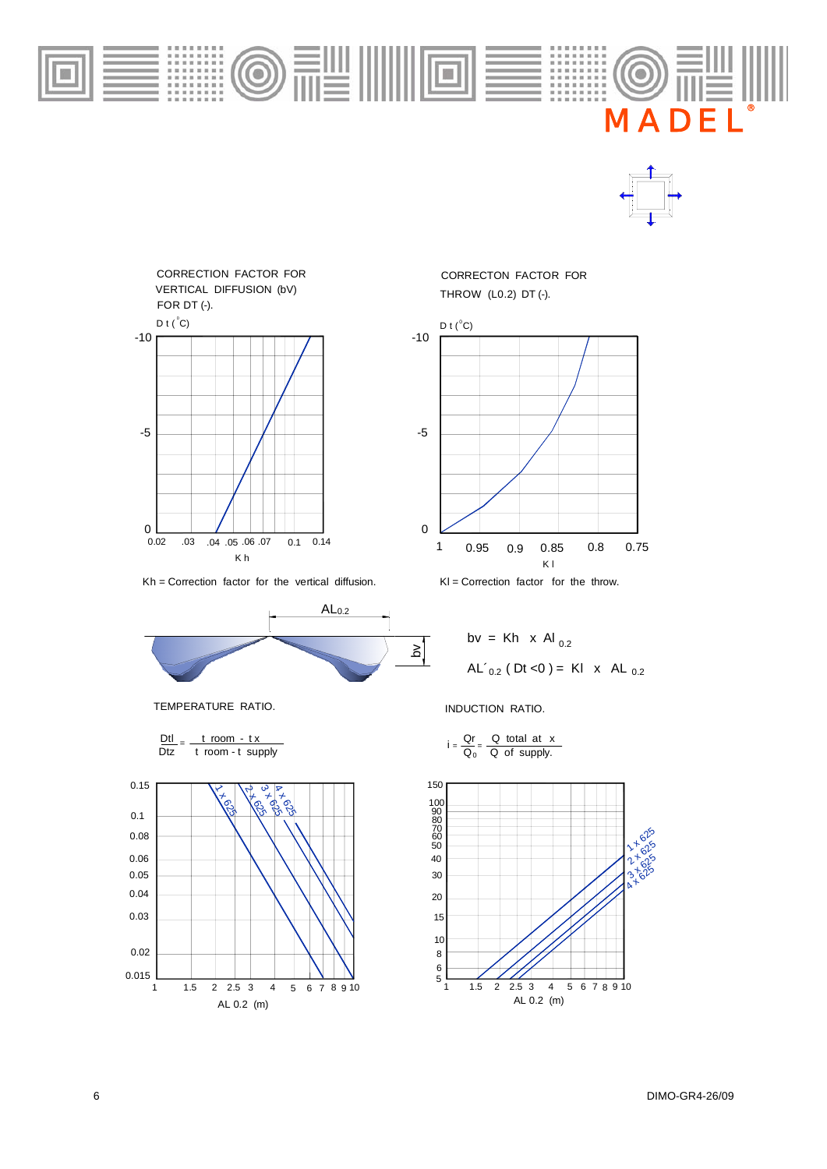

A D

®



Kh = Correction factor for the vertical diffusion.



TEMPERATURE RATIO. **INDUCTION RATIO.** 





THROW (L0.2) DT (-). CORRECTON FACTOR FOR



 $KI =$  Correction factor for the throw.

$$
bv = Kh \times Al_{0.2}
$$
  
AL'<sub>0.2</sub> (Dt <0) = KI × AL<sub>0.2</sub>

$$
= \frac{Qr}{Q_0} = \frac{Q \text{ total at } x}{Q \text{ of supply.}}
$$

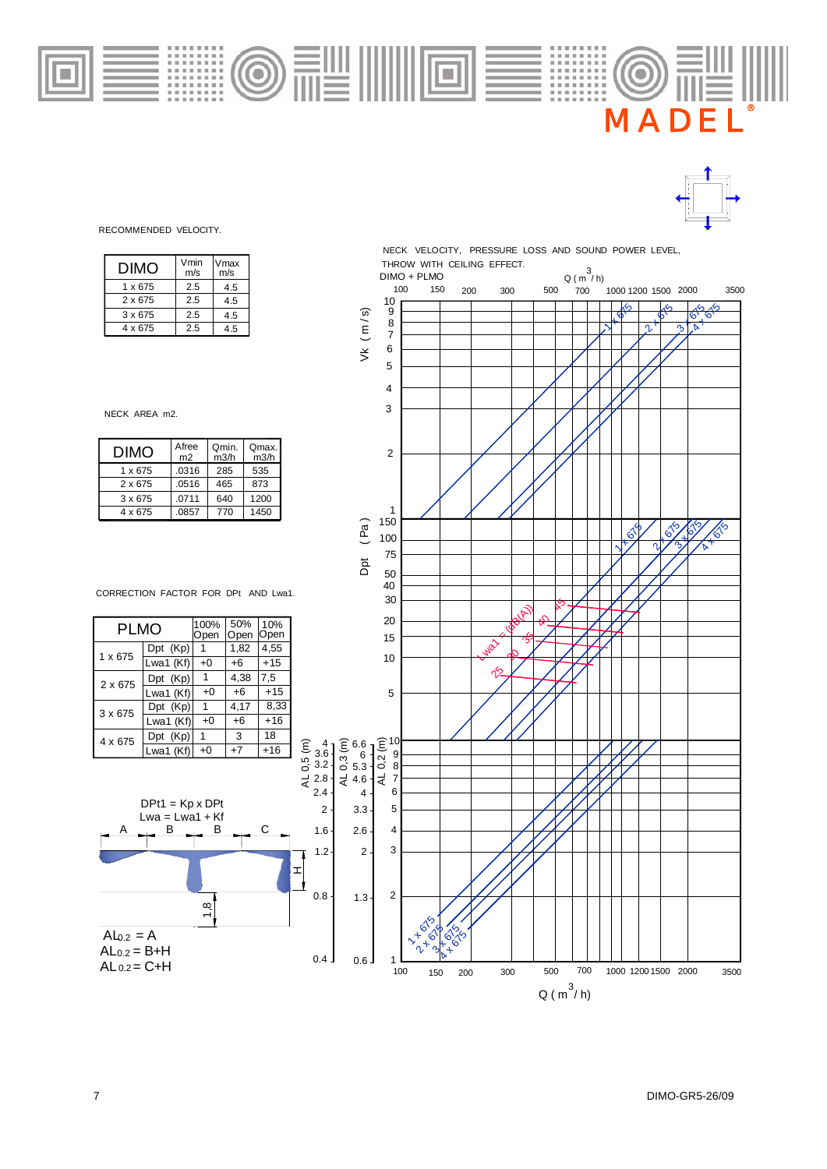



RECOMMENDED VELOCITY.

| DIMO    | Vmin<br>m/s | Vmax<br>m/s |
|---------|-------------|-------------|
| 1 x 675 | 2.5         | 4.5         |
| 2 x 675 | 2.5         | 4.5         |
| 3 x 675 | 25          | 4.5         |
| 4 x 675 | 25          | 45          |

NECK AREA m2.

| <b>DIMO</b>    | Afree<br>m <sub>2</sub> | Omin.<br>m3/h | Qmax.<br>m3/h |
|----------------|-------------------------|---------------|---------------|
| 1 x 675        | .0316                   | 285           | 535           |
| 2 x 675        | .0516                   | 465           | 873           |
| $3 \times 675$ | .0711                   | 640           | 1200          |
| 4 x 675        | .0857                   | 770           | 1450          |

CORRECTION FACTOR FOR DPt AND Lwa1.

| <b>PLMO</b>    |             | 100%<br>Open | 50%<br>Open | 10%<br>Open |
|----------------|-------------|--------------|-------------|-------------|
| $1 \times 675$ | Dpt (Kp)    |              | 1,82        | 4,55        |
|                | Lwa1 (Kf)   | +0           | +6          | $+15$       |
| 2 x 675        | Dpt (Kp)    | 1            | 4,38        | 7,5         |
|                | Lwa1 (Kf)   | $+0$         | $+6$        | $+15$       |
| $3 \times 675$ | Dpt (Kp)    | 1            | 4,17        | 8,33        |
|                | Lwa1 (Kf)   | +0           | $+6$        | +16         |
| 4 x 675        | (Kp)<br>Dpt | 1            | 3           | 18          |
|                | Lwa1 (Kf)   | $+0$         | $+7$        | +16         |